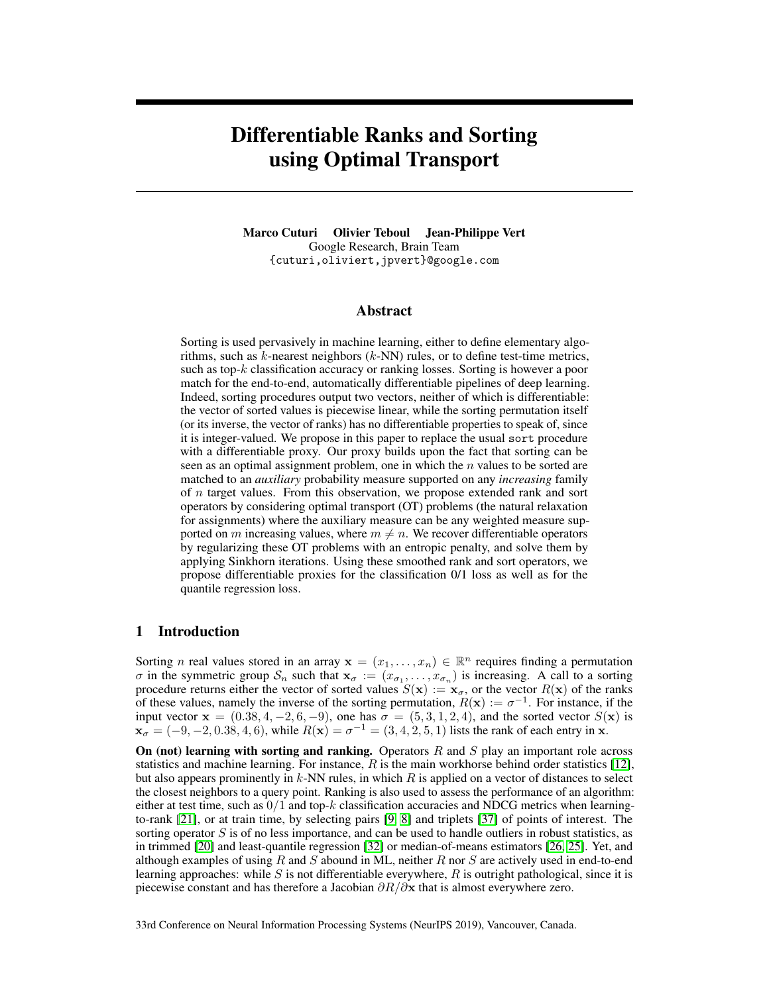# Differentiable Ranks and Sorting using Optimal Transport

Marco Cuturi Olivier Teboul Jean-Philippe Vert Google Research, Brain Team {cuturi,oliviert,jpvert}@google.com

#### Abstract

Sorting is used pervasively in machine learning, either to define elementary algorithms, such as  $k$ -nearest neighbors  $(k-NN)$  rules, or to define test-time metrics, such as top-k classification accuracy or ranking losses. Sorting is however a poor match for the end-to-end, automatically differentiable pipelines of deep learning. Indeed, sorting procedures output two vectors, neither of which is differentiable: the vector of sorted values is piecewise linear, while the sorting permutation itself (or its inverse, the vector of ranks) has no differentiable properties to speak of, since it is integer-valued. We propose in this paper to replace the usual sort procedure with a differentiable proxy. Our proxy builds upon the fact that sorting can be seen as an optimal assignment problem, one in which the  $n$  values to be sorted are matched to an *auxiliary* probability measure supported on any *increasing* family of n target values. From this observation, we propose extended rank and sort operators by considering optimal transport (OT) problems (the natural relaxation for assignments) where the auxiliary measure can be any weighted measure supported on m increasing values, where  $m \neq n$ . We recover differentiable operators by regularizing these OT problems with an entropic penalty, and solve them by applying Sinkhorn iterations. Using these smoothed rank and sort operators, we propose differentiable proxies for the classification 0/1 loss as well as for the quantile regression loss.

## 1 Introduction

Sorting *n* real values stored in an array  $\mathbf{x} = (x_1, \dots, x_n) \in \mathbb{R}^n$  requires finding a permutation  $\sigma$  in the symmetric group  $S_n$  such that  $\mathbf{x}_{\sigma} := (x_{\sigma_1}, \ldots, x_{\sigma_n})$  is increasing. A call to a sorting procedure returns either the vector of sorted values  $S(\mathbf{x}) := \mathbf{x}_{\sigma}$ , or the vector  $R(\mathbf{x})$  of the ranks of these values, namely the inverse of the sorting permutation,  $R(\mathbf{x}) := \sigma^{-1}$ . For instance, if the input vector  $\mathbf{x} = (0.38, 4, -2, 6, -9)$ , one has  $\sigma = (5, 3, 1, 2, 4)$ , and the sorted vector  $S(\mathbf{x})$  is  $\mathbf{x}_{\sigma} = (-9, -2, 0.38, 4, 6)$ , while  $R(\mathbf{x}) = \sigma^{-1} = (3, 4, 2, 5, 1)$  lists the rank of each entry in  $\mathbf{x}$ .

On (not) learning with sorting and ranking. Operators  $R$  and  $S$  play an important role across statistics and machine learning. For instance,  $R$  is the main workhorse behind order statistics [12], but also appears prominently in  $k$ -NN rules, in which  $R$  is applied on a vector of distances to select the closest neighbors to a query point. Ranking is also used to assess the performance of an algorithm: either at test time, such as  $0/1$  and top-k classification accuracies and NDCG metrics when learningto-rank [21], or at train time, by selecting pairs [9, 8] and triplets [37] of points of interest. The sorting operator  $S$  is of no less importance, and can be used to handle outliers in robust statistics, as in trimmed [20] and least-quantile regression [32] or median-of-means estimators [26, 25]. Yet, and although examples of using R and S abound in ML, neither R nor S are actively used in end-to-end learning approaches: while  $S$  is not differentiable everywhere,  $R$  is outright pathological, since it is piecewise constant and has therefore a Jacobian  $\partial R/\partial x$  that is almost everywhere zero.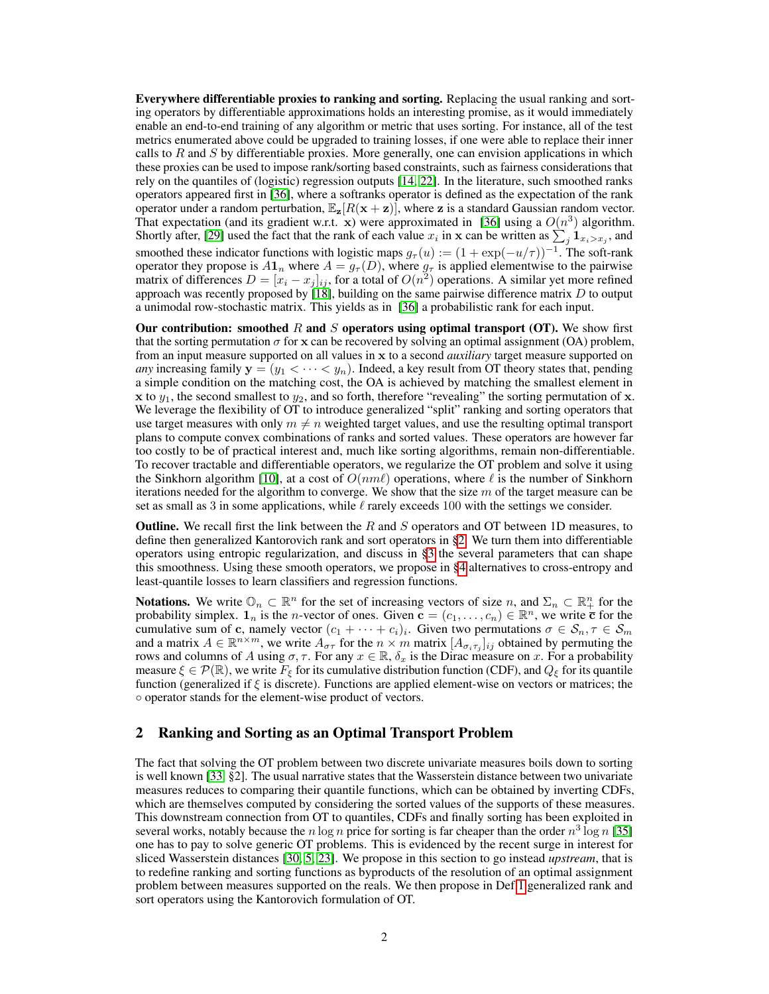Everywhere differentiable proxies to ranking and sorting. Replacing the usual ranking and sorting operators by differentiable approximations holds an interesting promise, as it would immediately enable an end-to-end training of any algorithm or metric that uses sorting. For instance, all of the test metrics enumerated above could be upgraded to training losses, if one were able to replace their inner calls to  $R$  and  $S$  by differentiable proxies. More generally, one can envision applications in which these proxies can be used to impose rank/sorting based constraints, such as fairness considerations that rely on the quantiles of (logistic) regression outputs [14, 22]. In the literature, such smoothed ranks operators appeared first in [36], where a softranks operator is defined as the expectation of the rank operator under a random perturbation,  $\mathbb{E}_{z}[R(x + z)]$ , where z is a standard Gaussian random vector. That expectation (and its gradient w.r.t. x) were approximated in [36] using a  $O(n^3)$  algorithm. Shortly after, [29] used the fact that the rank of each value  $x_i$  in x can be written as  $\sum_j \mathbf{1}_{x_i > x_j}$ , and smoothed these indicator functions with logistic maps  $g_{\tau}(u) := (1 + \exp(-u/\tau))^{-1}$ . The soft-rank operator they propose is  $A1_n$  where  $A = g<sub>\tau</sub>(D)$ , where  $g<sub>\tau</sub>$  is applied elementwise to the pairwise matrix of differences  $D = [x_i - x_j]_{ij}$ , for a total of  $O(n^2)$  operations. A similar yet more refined approach was recently proposed by  $[18]$ , building on the same pairwise difference matrix D to output a unimodal row-stochastic matrix. This yields as in [36] a probabilistic rank for each input.

Our contribution: smoothed R and S operators using optimal transport (OT). We show first that the sorting permutation  $\sigma$  for x can be recovered by solving an optimal assignment (OA) problem, from an input measure supported on all values in x to a second *auxiliary* target measure supported on *any* increasing family  $y = (y_1 < \cdots < y_n)$ . Indeed, a key result from OT theory states that, pending a simple condition on the matching cost, the OA is achieved by matching the smallest element in x to  $y_1$ , the second smallest to  $y_2$ , and so forth, therefore "revealing" the sorting permutation of x. We leverage the flexibility of OT to introduce generalized "split" ranking and sorting operators that use target measures with only  $m \neq n$  weighted target values, and use the resulting optimal transport plans to compute convex combinations of ranks and sorted values. These operators are however far too costly to be of practical interest and, much like sorting algorithms, remain non-differentiable. To recover tractable and differentiable operators, we regularize the OT problem and solve it using the Sinkhorn algorithm [10], at a cost of  $O(n m \ell)$  operations, where  $\ell$  is the number of Sinkhorn iterations needed for the algorithm to converge. We show that the size  $m$  of the target measure can be set as small as 3 in some applications, while  $\ell$  rarely exceeds 100 with the settings we consider.

**Outline.** We recall first the link between the R and S operators and OT between 1D measures, to define then generalized Kantorovich rank and sort operators in §2. We turn them into differentiable operators using entropic regularization, and discuss in §3 the several parameters that can shape this smoothness. Using these smooth operators, we propose in §4 alternatives to cross-entropy and least-quantile losses to learn classifiers and regression functions.

**Notations.** We write  $\mathbb{O}_n \subset \mathbb{R}^n$  for the set of increasing vectors of size  $n$ , and  $\Sigma_n \subset \mathbb{R}^n_+$  for the probability simplex.  $\mathbf{1}_n$  is the *n*-vector of ones. Given  $\mathbf{c} = (c_1, \dots, c_n) \in \mathbb{R}^n$ , we write  $\overline{\mathbf{c}}$  for the cumulative sum of c, namely vector  $(c_1 + \cdots + c_i)_i$ . Given two permutations  $\sigma \in S_n$ ,  $\tau \in S_m$ and a matrix  $A \in \mathbb{R}^{n \times m}$ , we write  $A_{\sigma\tau}$  for the  $n \times m$  matrix  $[A_{\sigma_i \tau_j}]_{ij}$  obtained by permuting the rows and columns of A using  $\sigma, \tau$ . For any  $x \in \mathbb{R}$ ,  $\delta_x$  is the Dirac measure on x. For a probability measure  $\xi \in \mathcal{P}(\mathbb{R})$ , we write  $F_{\xi}$  for its cumulative distribution function (CDF), and  $Q_{\xi}$  for its quantile function (generalized if  $\xi$  is discrete). Functions are applied element-wise on vectors or matrices; the ◦ operator stands for the element-wise product of vectors.

## 2 Ranking and Sorting as an Optimal Transport Problem

The fact that solving the OT problem between two discrete univariate measures boils down to sorting is well known [33, §2]. The usual narrative states that the Wasserstein distance between two univariate measures reduces to comparing their quantile functions, which can be obtained by inverting CDFs, which are themselves computed by considering the sorted values of the supports of these measures. This downstream connection from OT to quantiles, CDFs and finally sorting has been exploited in several works, notably because the n log n price for sorting is far cheaper than the order  $n^3 \log n$  [35] one has to pay to solve generic OT problems. This is evidenced by the recent surge in interest for sliced Wasserstein distances [30, 5, 23]. We propose in this section to go instead *upstream*, that is to redefine ranking and sorting functions as byproducts of the resolution of an optimal assignment problem between measures supported on the reals. We then propose in Def.1 generalized rank and sort operators using the Kantorovich formulation of OT.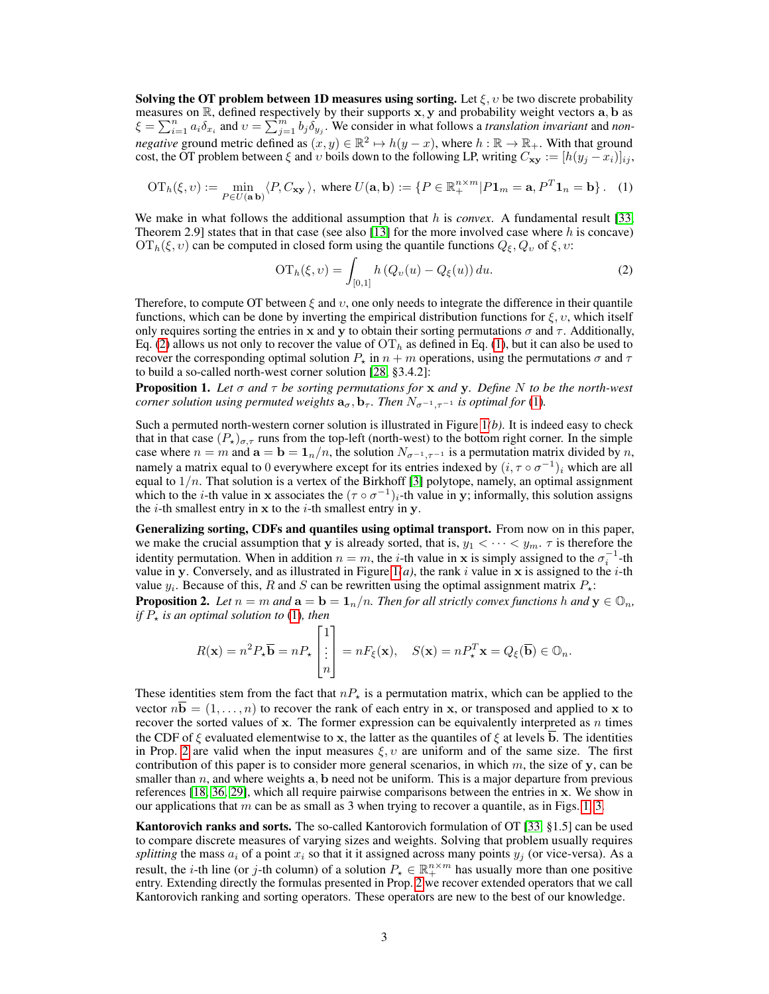Solving the OT problem between 1D measures using sorting. Let  $\xi, v$  be two discrete probability measures on  $\mathbb R$ , defined respectively by their supports x, y and probability weight vectors a, b as  $\xi = \sum_{i=1}^n a_i \delta_{x_i}$  and  $v = \sum_{j=1}^m b_j \delta_{y_j}$ . We consider in what follows a *translation invariant* and *nonnegative* ground metric defined as  $(x, y) \in \mathbb{R}^2 \mapsto h(y - x)$ , where  $h : \mathbb{R} \to \mathbb{R}_+$ . With that ground cost, the OT problem between  $\xi$  and  $v$  boils down to the following LP, writing  $C_{xy} := [h(y_i - x_i)]_{ij}$ ,

$$
\mathrm{OT}_h(\xi, \upsilon) := \min_{P \in U(\mathbf{a}, \mathbf{b})} \langle P, C_{\mathbf{x} \mathbf{y}} \rangle, \text{ where } U(\mathbf{a}, \mathbf{b}) := \{ P \in \mathbb{R}_+^{n \times m} | P \mathbf{1}_m = \mathbf{a}, P^T \mathbf{1}_n = \mathbf{b} \}.
$$
 (1)

We make in what follows the additional assumption that h is *convex*. A fundamental result [33, Theorem 2.9] states that in that case (see also [13] for the more involved case where h is concave)  $\mathrm{OT}_h(\xi, v)$  can be computed in closed form using the quantile functions  $Q_\xi, Q_v$  of  $\xi, v$ :

$$
\mathrm{OT}_h(\xi, v) = \int_{[0,1]} h\left(Q_v(u) - Q_\xi(u)\right) du. \tag{2}
$$

Therefore, to compute OT between  $\xi$  and  $v$ , one only needs to integrate the difference in their quantile functions, which can be done by inverting the empirical distribution functions for  $\xi, v$ , which itself only requires sorting the entries in x and y to obtain their sorting permutations  $\sigma$  and  $\tau$ . Additionally, Eq. (2) allows us not only to recover the value of  $\mathrm{OT}_h$  as defined in Eq. (1), but it can also be used to recover the corresponding optimal solution  $P_{\star}$  in  $n + m$  operations, using the permutations  $\sigma$  and  $\tau$ to build a so-called north-west corner solution [28, §3.4.2]:

Proposition 1. *Let* σ *and* τ *be sorting permutations for* x *and* y*. Define* N *to be the north-west corner solution using permuted weights*  $\mathbf{a}_{\sigma}$ ,  $\mathbf{b}_{\tau}$ *. Then*  $N_{\sigma^{-1}, \tau^{-1}}$  *is optimal for* (1)*.* 

Such a permuted north-western corner solution is illustrated in Figure 1*(b)*. It is indeed easy to check that in that case  $(P_{\star})_{\sigma,\tau}$  runs from the top-left (north-west) to the bottom right corner. In the simple case where  $n = m$  and  $\mathbf{a} = \mathbf{b} = \mathbf{1}_n/n$ , the solution  $N_{\sigma^{-1}, \tau^{-1}}$  is a permutation matrix divided by n, namely a matrix equal to 0 everywhere except for its entries indexed by  $(i, \tau \circ \sigma^{-1})_i$  which are all equal to  $1/n$ . That solution is a vertex of the Birkhoff [3] polytope, namely, an optimal assignment which to the *i*-th value in x associates the  $(\tau \circ \sigma^{-1})_i$ -th value in y; informally, this solution assigns the  $i$ -th smallest entry in  $x$  to the  $i$ -th smallest entry in  $y$ .

Generalizing sorting, CDFs and quantiles using optimal transport. From now on in this paper, we make the crucial assumption that y is already sorted, that is,  $y_1 < \cdots < y_m$ .  $\tau$  is therefore the identity permutation. When in addition  $n = m$ , the *i*-th value in x is simply assigned to the  $\sigma_i^{-1}$ -th value in y. Conversely, and as illustrated in Figure  $1(a)$ , the rank i value in x is assigned to the i-th value  $y_i$ . Because of this, R and S can be rewritten using the optimal assignment matrix  $P_{\star}$ :

**Proposition 2.** Let  $n = m$  and  $\mathbf{a} = \mathbf{b} = \mathbf{1}_n/n$ . Then for all strictly convex functions h and  $\mathbf{y} \in \mathbb{O}_n$ , *if*  $P_{\star}$  *is an optimal solution to* (1)*, then* 

$$
R(\mathbf{x}) = n^2 P_{\star} \overline{\mathbf{b}} = n P_{\star} \begin{bmatrix} 1 \\ \vdots \\ n \end{bmatrix} = n F_{\xi}(\mathbf{x}), \quad S(\mathbf{x}) = n P_{\star}^T \mathbf{x} = Q_{\xi}(\overline{\mathbf{b}}) \in \mathbb{O}_n.
$$

These identities stem from the fact that  $nP_{\star}$  is a permutation matrix, which can be applied to the vector  $n\mathbf{b} = (1, \ldots, n)$  to recover the rank of each entry in x, or transposed and applied to x to recover the sorted values of  $x$ . The former expression can be equivalently interpreted as  $n$  times the CDF of  $\xi$  evaluated elementwise to x, the latter as the quantiles of  $\xi$  at levels  $\overline{b}$ . The identities in Prop. 2 are valid when the input measures  $\xi, v$  are uniform and of the same size. The first contribution of this paper is to consider more general scenarios, in which  $m$ , the size of y, can be smaller than  $n$ , and where weights  $a$ , b need not be uniform. This is a major departure from previous references [18, 36, 29], which all require pairwise comparisons between the entries in x. We show in our applications that  $m$  can be as small as 3 when trying to recover a quantile, as in Figs. 1, 3.

Kantorovich ranks and sorts. The so-called Kantorovich formulation of OT [33, §1.5] can be used to compare discrete measures of varying sizes and weights. Solving that problem usually requires *splitting* the mass  $a_i$  of a point  $x_i$  so that it it assigned across many points  $y_i$  (or vice-versa). As a result, the *i*-th line (or *j*-th column) of a solution  $P_{\star} \in \mathbb{R}^{n \times m}_{+}$  has usually more than one positive entry. Extending directly the formulas presented in Prop. 2 we recover extended operators that we call Kantorovich ranking and sorting operators. These operators are new to the best of our knowledge.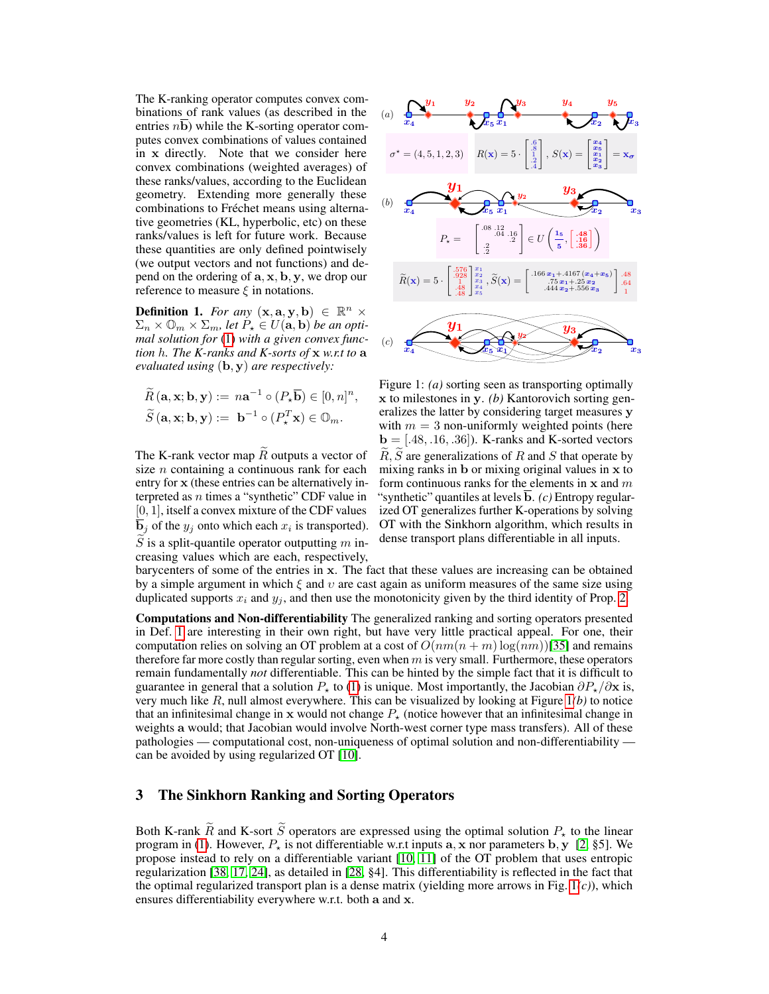The K-ranking operator computes convex combinations of rank values (as described in the entries  $n\overline{b}$ ) while the K-sorting operator computes convex combinations of values contained in x directly. Note that we consider here convex combinations (weighted averages) of these ranks/values, according to the Euclidean geometry. Extending more generally these combinations to Fréchet means using alternative geometries (KL, hyperbolic, etc) on these ranks/values is left for future work. Because these quantities are only defined pointwisely (we output vectors and not functions) and depend on the ordering of  $\mathbf{a}, \mathbf{x}, \mathbf{b}, \mathbf{y}$ , we drop our reference to measure  $\xi$  in notations.

**Definition 1.** *For any*  $(x, a, y, b) \in \mathbb{R}^n \times$  $\Sigma_n \times \mathbb{O}_m \times \Sigma_m$ , let  $P_{\star} \in U(\mathbf{a}, \mathbf{b})$  be an opti*mal solution for* (1) *with a given convex function* h*. The K-ranks and K-sorts of* x *w.r.t to* a *evaluated using* (b, y) *are respectively:*

$$
\widetilde{R}(\mathbf{a}, \mathbf{x}; \mathbf{b}, \mathbf{y}) := n\mathbf{a}^{-1} \circ (P_{\star}\overline{\mathbf{b}}) \in [0, n]^n,
$$
  

$$
\widetilde{S}(\mathbf{a}, \mathbf{x}; \mathbf{b}, \mathbf{y}) := \mathbf{b}^{-1} \circ (P_{\star}^T \mathbf{x}) \in \mathbb{O}_m.
$$

The K-rank vector map  $\widetilde{R}$  outputs a vector of size  $n$  containing a continuous rank for each entry for x (these entries can be alternatively interpreted as  $n$  times a "synthetic" CDF value in [0, 1], itself a convex mixture of the CDF values  $\mathbf{b}_j$  of the  $y_j$  onto which each  $x_i$  is transported).  $\tilde{S}$  is a split-quantile operator outputting  $m$  increasing values which are each, respectively,



Figure 1: *(a)* sorting seen as transporting optimally x to milestones in y. *(b)* Kantorovich sorting generalizes the latter by considering target measures y with  $m = 3$  non-uniformly weighted points (here  $\mathbf{b} = [.48, .16, .36]$ . K-ranks and K-sorted vectors  $\widetilde{R}, \widetilde{S}$  are generalizations of R and S that operate by mixing ranks in b or mixing original values in x to form continuous ranks for the elements in  $x$  and  $m$ "synthetic" quantiles at levels  $\overline{b}$ . *(c)* Entropy regularized OT generalizes further K-operations by solving OT with the Sinkhorn algorithm, which results in dense transport plans differentiable in all inputs.

barycenters of some of the entries in x. The fact that these values are increasing can be obtained by a simple argument in which  $\xi$  and  $v$  are cast again as uniform measures of the same size using duplicated supports  $x_i$  and  $y_j$ , and then use the monotonicity given by the third identity of Prop. 2.

Computations and Non-differentiability The generalized ranking and sorting operators presented in Def. 1 are interesting in their own right, but have very little practical appeal. For one, their computation relies on solving an OT problem at a cost of  $O(nm(n + m) \log(nm))$ [35] and remains therefore far more costly than regular sorting, even when  $m$  is very small. Furthermore, these operators remain fundamentally *not* differentiable. This can be hinted by the simple fact that it is difficult to guarantee in general that a solution  $P_{\star}$  to (1) is unique. Most importantly, the Jacobian  $\partial P_{\star}/\partial x$  is, very much like R, null almost everywhere. This can be visualized by looking at Figure 1*(b)* to notice that an infinitesimal change in x would not change  $P_{\star}$  (notice however that an infinitesimal change in weights a would; that Jacobian would involve North-west corner type mass transfers). All of these pathologies — computational cost, non-uniqueness of optimal solution and non-differentiability can be avoided by using regularized OT [10].

# 3 The Sinkhorn Ranking and Sorting Operators

Both K-rank  $\tilde{R}$  and K-sort  $\tilde{S}$  operators are expressed using the optimal solution  $P_{+}$  to the linear program in (1). However,  $P<sub>x</sub>$  is not differentiable w.r.t inputs a, x nor parameters b, y [2, §5]. We propose instead to rely on a differentiable variant [10, 11] of the OT problem that uses entropic regularization [38, 17, 24], as detailed in [28, §4]. This differentiability is reflected in the fact that the optimal regularized transport plan is a dense matrix (yielding more arrows in Fig. 1*(c)*), which ensures differentiability everywhere w.r.t. both a and x.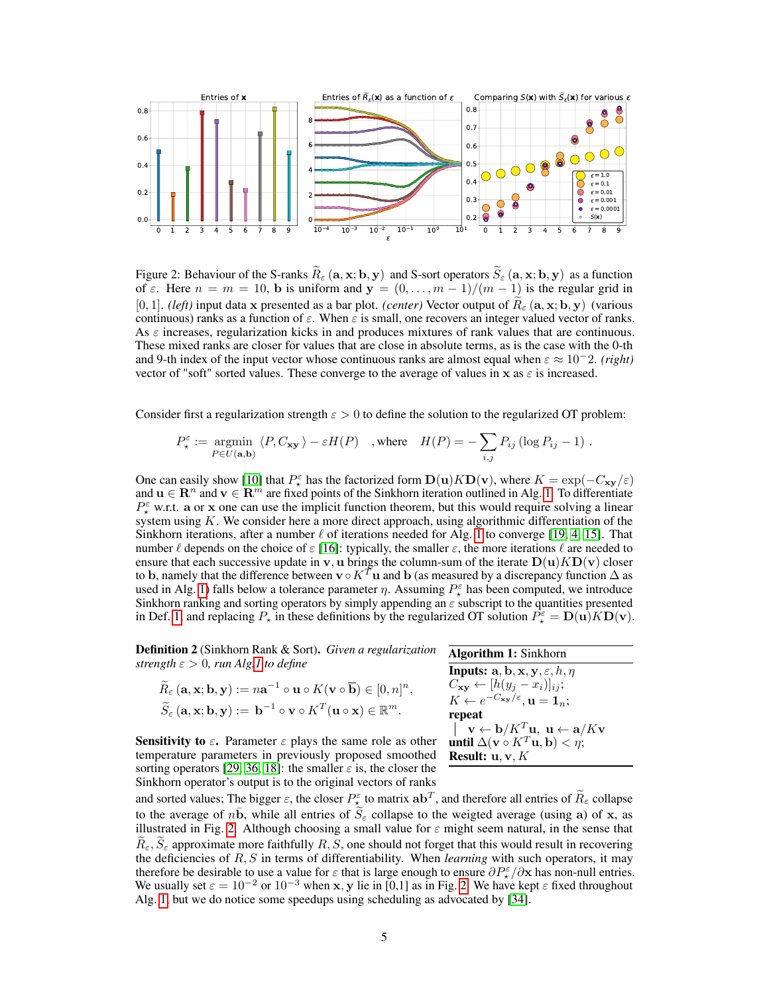

Figure 2: Behaviour of the S-ranks  $\widetilde{R}_{\varepsilon}(\mathbf{a}, \mathbf{x}; \mathbf{b}, \mathbf{y})$  and S-sort operators  $\widetilde{S}_{\varepsilon}(\mathbf{a}, \mathbf{x}; \mathbf{b}, \mathbf{y})$  as a function of  $\varepsilon$ . Here  $n = m = 10$ , b is uniform and  $y = (0, \ldots, m - 1)/(m - 1)$  is the regular grid in [0, 1]. *(left)* input data x presented as a bar plot. *(center)* Vector output of  $R_{\varepsilon}$  (a, x; b, y) (various continuous) ranks as a function of  $\varepsilon$ . When  $\varepsilon$  is small, one recovers an integer valued vector of ranks. As  $\varepsilon$  increases, regularization kicks in and produces mixtures of rank values that are continuous. These mixed ranks are closer for values that are close in absolute terms, as is the case with the 0-th and 9-th index of the input vector whose continuous ranks are almost equal when  $\varepsilon \approx 10^{-2}$ . *(right)* vector of "soft" sorted values. These converge to the average of values in x as  $\varepsilon$  is increased.

Consider first a regularization strength  $\varepsilon > 0$  to define the solution to the regularized OT problem:

$$
P_{\star}^{\varepsilon} := \underset{P \in U(\mathbf{a}, \mathbf{b})}{\text{argmin}} \langle P, C_{\mathbf{xy}} \rangle - \varepsilon H(P) \quad , \text{where} \quad H(P) = -\sum_{i,j} P_{ij} \left( \log P_{ij} - 1 \right) .
$$

One can easily show [10] that  $P_{\star}^{\varepsilon}$  has the factorized form  $\mathbf{D}(\mathbf{u}) K \mathbf{D}(\mathbf{v})$ , where  $K = \exp(-C_{\mathbf{xy}}/\varepsilon)$ and  $u \in \mathbb{R}^n$  and  $v \in \mathbb{R}^m$  are fixed points of the Sinkhorn iteration outlined in Alg. 1. To differentiate  $P_{\star}^{\varepsilon}$  w.r.t. a or x one can use the implicit function theorem, but this would require solving a linear system using  $K$ . We consider here a more direct approach, using algorithmic differentiation of the Sinkhorn iterations, after a number  $\ell$  of iterations needed for Alg. 1 to converge [19, 4, 15]. That number  $\ell$  depends on the choice of  $\varepsilon$  [16]: typically, the smaller  $\varepsilon$ , the more iterations  $\ell$  are needed to ensure that each successive update in v, u brings the column-sum of the iterate  $D(u)KD(v)$  closer to b, namely that the difference between  $\mathbf{v} \circ K^T \mathbf{u}$  and b (as measured by a discrepancy function  $\Delta$  as used in Alg. 1) falls below a tolerance parameter  $\eta$ . Assuming  $P_{\star}^{\varepsilon}$  has been computed, we introduce Sinkhorn ranking and sorting operators by simply appending an  $\varepsilon$  subscript to the quantities presented in Def. 1, and replacing  $P_{\star}$  in these definitions by the regularized OT solution  $P_{\star}^{\varepsilon} = \mathbf{D}(\mathbf{u}) K \mathbf{D}(\mathbf{v})$ .

Definition 2 (Sinkhorn Rank & Sort). *Given a regularization strength*  $\varepsilon > 0$ *, run Alg.1 to define* 

| $\widetilde{R}_{\varepsilon}(\mathbf{a}, \mathbf{x}; \mathbf{b}, \mathbf{y}) := n\mathbf{a}^{-1} \circ \mathbf{u} \circ K(\mathbf{v} \circ \overline{\mathbf{b}}) \in [0, n]^n,$ |
|----------------------------------------------------------------------------------------------------------------------------------------------------------------------------------|
| $\widetilde{S}_{\varepsilon}(\mathbf{a}, \mathbf{x}; \mathbf{b}, \mathbf{y}) := \mathbf{b}^{-1} \circ \mathbf{v} \circ K^{T}(\mathbf{u} \circ \mathbf{x}) \in \mathbb{R}^{m}$ .  |

| <b>Algorithm 1: Sinkhorn</b>                                                                           |
|--------------------------------------------------------------------------------------------------------|
| <b>Inputs:</b> a, b, x, y, $\varepsilon$ , h, $\eta$                                                   |
| $C_{\mathbf{xy}} \leftarrow [h(y_i - x_i)]_{ij};$                                                      |
| $K \leftarrow e^{-C_{\mathbf{xy}}/\varepsilon}, \mathbf{u} = \mathbf{1}_n;$                            |
| repeat                                                                                                 |
| $\vert \mathbf{v} \leftarrow \mathbf{b}/K^T \mathbf{u}, \mathbf{u} \leftarrow \mathbf{a}/K \mathbf{v}$ |
| until $\Delta(\mathbf{v} \circ K^T \mathbf{u}, \mathbf{b}) < \eta$ ;                                   |
| Result: $u, v, K$                                                                                      |

**Sensitivity to**  $\varepsilon$ **.** Parameter  $\varepsilon$  plays the same role as other temperature parameters in previously proposed smoothed sorting operators [29, 36, 18]: the smaller  $\varepsilon$  is, the closer the Sinkhorn operator's output is to the original vectors of ranks

and sorted values; The bigger  $\varepsilon$ , the closer  $P^{\varepsilon}_{\star}$  to matrix  $\mathbf{a} \mathbf{b}^T$ , and therefore all entries of  $R_{\varepsilon}$  collapse to the average of  $n\bar{b}$ , while all entries of  $\tilde{S}_{\varepsilon}$  collapse to the weigted average (using a) of x, as illustrated in Fig. 2. Although choosing a small value for  $\varepsilon$  might seem natural, in the sense that  $R_{\varepsilon}$ ,  $S_{\varepsilon}$  approximate more faithfully R, S, one should not forget that this would result in recovering the deficiencies of R, S in terms of differentiability. When *learning* with such operators, it may therefore be desirable to use a value for  $\varepsilon$  that is large enough to ensure  $\partial P^{\varepsilon}_\star/\partial x$  has non-null entries. We usually set  $\varepsilon = 10^{-2}$  or  $10^{-3}$  when x, y lie in [0,1] as in Fig. 2. We have kept  $\varepsilon$  fixed throughout Alg. 1, but we do notice some speedups using scheduling as advocated by [34].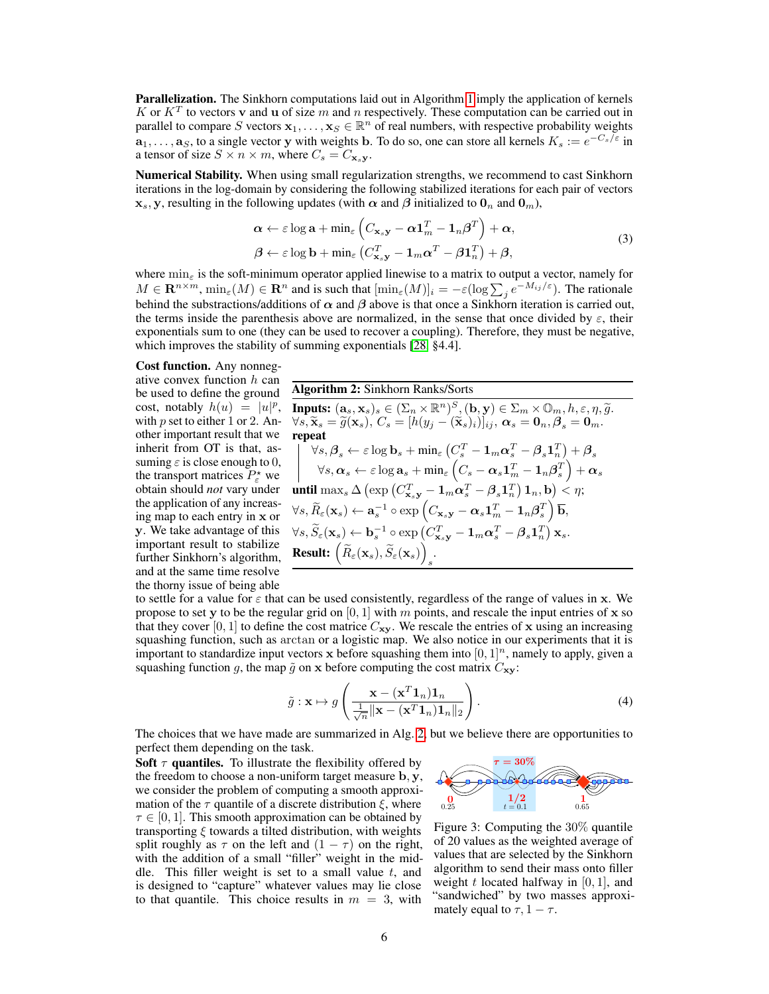**Parallelization.** The Sinkhorn computations laid out in Algorithm 1 imply the application of kernels K or  $K<sup>T</sup>$  to vectors v and u of size m and n respectively. These computation can be carried out in parallel to compare S vectors  $x_1, \ldots, x_S \in \mathbb{R}^n$  of real numbers, with respective probability weights  $a_1, \ldots, a_S$ , to a single vector y with weights b. To do so, one can store all kernels  $K_s := e^{-C_s/\varepsilon}$  in a tensor of size  $S \times n \times m$ , where  $C_s = C_{\mathbf{x}_s \mathbf{y}}$ .

Numerical Stability. When using small regularization strengths, we recommend to cast Sinkhorn iterations in the log-domain by considering the following stabilized iterations for each pair of vectors  $x_s$ , y, resulting in the following updates (with  $\alpha$  and  $\beta$  initialized to  $0_n$  and  $0_m$ ),

$$
\boldsymbol{\alpha} \leftarrow \varepsilon \log \mathbf{a} + \min_{\varepsilon} \left( C_{\mathbf{x}_s \mathbf{y}} - \boldsymbol{\alpha} \mathbf{1}_m^T - \mathbf{1}_n \boldsymbol{\beta}^T \right) + \boldsymbol{\alpha},
$$
  

$$
\boldsymbol{\beta} \leftarrow \varepsilon \log \mathbf{b} + \min_{\varepsilon} \left( C_{\mathbf{x}_s \mathbf{y}}^T - \mathbf{1}_m \boldsymbol{\alpha}^T - \boldsymbol{\beta} \mathbf{1}_n^T \right) + \boldsymbol{\beta},
$$
 (3)

where  $\min_{\epsilon}$  is the soft-minimum operator applied linewise to a matrix to output a vector, namely for  $M \in \mathbf{R}^{n \times m}$ ,  $\min_{\varepsilon} (M) \in \mathbf{R}^n$  and is such that  $[\min_{\varepsilon} (M)]_i = -\varepsilon (\log \sum_j e^{-M_{ij}/\varepsilon})$ . The rationale behind the substractions/additions of  $\alpha$  and  $\beta$  above is that once a Sinkhorn iteration is carried out, the terms inside the parenthesis above are normalized, in the sense that once divided by  $\varepsilon$ , their exponentials sum to one (they can be used to recover a coupling). Therefore, they must be negative, which improves the stability of summing exponentials [28, §4.4].

#### Cost function. Any nonneg-

ative convex function  $h$  can be used to define the ground cost, notably  $h(u) = |u|^p$ , with  $p$  set to either 1 or 2. Another important result that we inherit from OT is that, assuming  $\varepsilon$  is close enough to 0, the transport matrices  $P^*_{\varepsilon}$  we obtain should *not* vary under the application of any increasing map to each entry in x or y. We take advantage of this important result to stabilize further Sinkhorn's algorithm, and at the same time resolve the thorny issue of being able

Algorithm 2: Sinkhorn Ranks/Sorts **Inputs:**  $(a_s, x_s)_s \in (\Sigma_n \times \mathbb{R}^n)^S$ ,  $(b, y) \in \Sigma_m \times \mathbb{O}_m$ ,  $h, \varepsilon, \eta, \tilde{g}$ .  $\forall s, \widetilde{\mathbf{x}}_s = \widetilde{g}(\mathbf{x}_s), C_s = [h(y_j - (\widetilde{\mathbf{x}}_s)_i)]_{ij}, \ \boldsymbol{\alpha}_s = \mathbf{0}_n, \boldsymbol{\beta}_s = \mathbf{0}_m.$ repeat  $\forall s, \beta_s \leftarrow \varepsilon \log \mathbf{b}_s + \min_{\varepsilon} \left( C_s^T - \mathbf{1}_m \boldsymbol{\alpha}_s^T - \boldsymbol{\beta}_s \mathbf{1}_n^T \right) + \boldsymbol{\beta}_s$  $\forall s, \boldsymbol{\alpha}_s \leftarrow \varepsilon \log \mathbf{a}_s + \min_{\varepsilon} \left( C_s - \boldsymbol{\alpha}_s \mathbf{1}_m^T - \mathbf{1}_n \boldsymbol{\beta}_s^T \right) + \boldsymbol{\alpha}_s$ until  $\max_s \Delta \left( \exp \left( C_{\mathbf{x}_s \mathbf{y}}^T - \mathbf{1}_m \boldsymbol{\alpha}_s^T - \boldsymbol{\beta}_s \mathbf{1}_n^T \right) \mathbf{1}_n, \mathbf{b} \right) < \eta;$  $\forall s, \widetilde{R}_\varepsilon(\mathbf{x}_s) \leftarrow \mathbf{a}_s^{-1} \circ \exp \left( C_{\mathbf{x}_s \mathbf{y}} - \boldsymbol{\alpha}_s \mathbf{1}_m^T - \mathbf{1}_n \boldsymbol{\beta}_s^T \right) \overline{\mathbf{b}},$  $\forall s, \widetilde{S}_\varepsilon(\mathbf{x}_s) \leftarrow \mathbf{b}_s^{-1} \circ \exp \left( C_{\mathbf{x}_s}^T \mathbf{y} - \mathbf{1}_m \boldsymbol{\alpha}_s^T - \boldsymbol{\beta}_s \mathbf{1}_n^T \right) \mathbf{x}_s.$ **Result:**  $\left(\widetilde{R}_{\varepsilon}(\mathbf{x}_{s}), \widetilde{S}_{\varepsilon}(\mathbf{x}_{s})\right)$ s .

to settle for a value for  $\varepsilon$  that can be used consistently, regardless of the range of values in x. We propose to set y to be the regular grid on [0, 1] with m points, and rescale the input entries of x so that they cover [0, 1] to define the cost matrice  $C_{xy}$ . We rescale the entries of x using an increasing squashing function, such as arctan or a logistic map. We also notice in our experiments that it is important to standardize input vectors  $x$  before squashing them into  $[0, 1]^n$ , namely to apply, given a squashing function g, the map  $\tilde{g}$  on x before computing the cost matrix  $C_{xy}$ :

$$
\tilde{g}: \mathbf{x} \mapsto g\left(\frac{\mathbf{x} - (\mathbf{x}^T \mathbf{1}_n) \mathbf{1}_n}{\frac{1}{\sqrt{n}} \|\mathbf{x} - (\mathbf{x}^T \mathbf{1}_n) \mathbf{1}_n\|_2}\right).
$$
\n(4)

The choices that we have made are summarized in Alg. 2, but we believe there are opportunities to perfect them depending on the task.

Soft  $\tau$  quantiles. To illustrate the flexibility offered by the freedom to choose a non-uniform target measure  $\mathbf{b}, \mathbf{y}$ , we consider the problem of computing a smooth approximation of the  $\tau$  quantile of a discrete distribution  $\xi$ , where  $\tau \in [0, 1]$ . This smooth approximation can be obtained by transporting  $\xi$  towards a tilted distribution, with weights split roughly as  $\tau$  on the left and  $(1 - \tau)$  on the right, with the addition of a small "filler" weight in the middle. This filler weight is set to a small value  $t$ , and is designed to "capture" whatever values may lie close to that quantile. This choice results in  $m = 3$ , with



Figure 3: Computing the 30% quantile of 20 values as the weighted average of values that are selected by the Sinkhorn algorithm to send their mass onto filler weight  $t$  located halfway in [0, 1], and "sandwiched" by two masses approximately equal to  $\tau$ , 1 –  $\tau$ .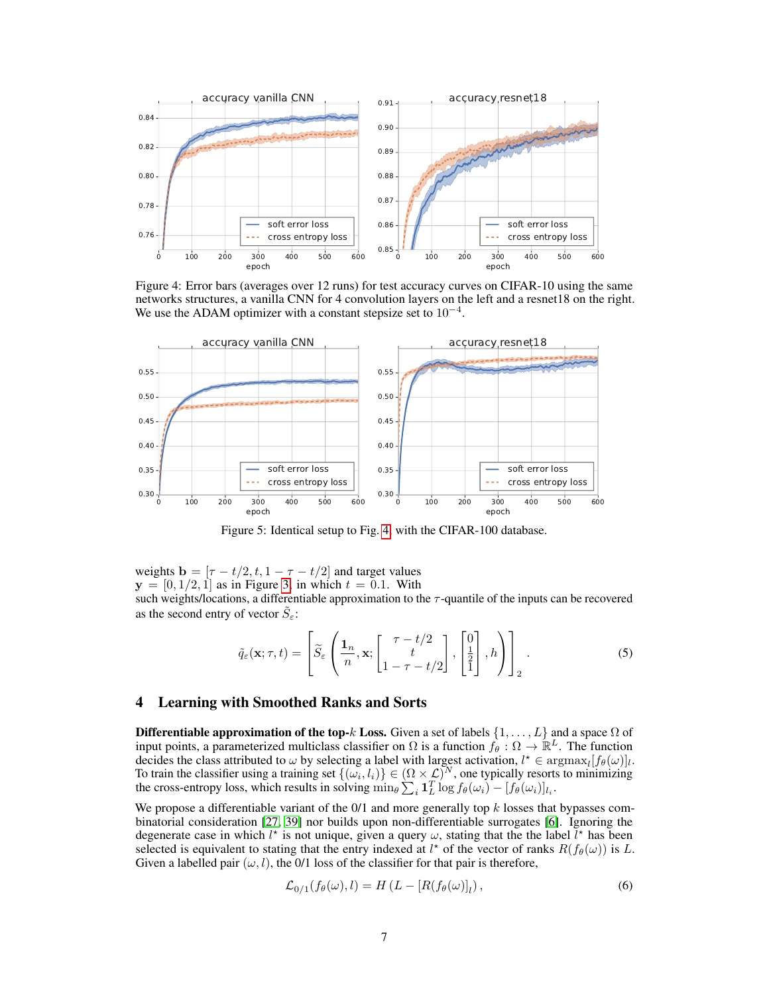

Figure 4: Error bars (averages over 12 runs) for test accuracy curves on CIFAR-10 using the same networks structures, a vanilla CNN for 4 convolution layers on the left and a resnet18 on the right. We use the ADAM optimizer with a constant stepsize set to  $10^{-4}$ .



Figure 5: Identical setup to Fig. 4, with the CIFAR-100 database.

weights  $\mathbf{b} = [\tau - t/2, t, 1 - \tau - t/2]$  and target values  $y = [0, 1/2, 1]$  as in Figure 3, in which  $t = 0.1$ . With

such weights/locations, a differentiable approximation to the  $\tau$ -quantile of the inputs can be recovered as the second entry of vector  $\tilde{S}_{\varepsilon}$ :

$$
\tilde{q}_{\varepsilon}(\mathbf{x};\tau,t) = \left[\widetilde{S}_{\varepsilon}\left(\frac{\mathbf{1}_n}{n},\mathbf{x};\begin{bmatrix}\tau-t/2\\t\\1-\tau-t/2\end{bmatrix},\begin{bmatrix}0\\ \frac{1}{2}\\1\end{bmatrix},h\right)\right]_2.
$$
\n(5)

# 4 Learning with Smoothed Ranks and Sorts

**Differentiable approximation of the top-k Loss.** Given a set of labels  $\{1, \ldots, L\}$  and a space  $\Omega$  of input points, a parameterized multiclass classifier on  $\Omega$  is a function  $f_{\theta} : \Omega \to \mathbb{R}^L$ . The function decides the class attributed to  $\omega$  by selecting a label with largest activation,  $l^* \in \text{argmax}_{l} [f_{\theta}(\omega)]_{l}$ . To train the classifier using a training set  $\{(\omega_i, l_i)\} \in (\Omega \times \mathcal{L})^N$ , one typically resorts to minimizing the cross-entropy loss, which results in solving  $\min_{\theta} \sum_i \mathbf{1}_L^T \log f_{\theta}(\omega_i) - [f_{\theta}(\omega_i)]_{l_i}$ .

We propose a differentiable variant of the  $0/1$  and more generally top k losses that bypasses combinatorial consideration [27, 39] nor builds upon non-differentiable surrogates [6]. Ignoring the degenerate case in which  $l^*$  is not unique, given a query  $\omega$ , stating that the the label  $\bar{l}^*$  has been selected is equivalent to stating that the entry indexed at  $l^*$  of the vector of ranks  $R(f_\theta(\omega))$  is L. Given a labelled pair  $(\omega, l)$ , the 0/1 loss of the classifier for that pair is therefore,

$$
\mathcal{L}_{0/1}(f_{\theta}(\omega), l) = H\left(L - \left[R(f_{\theta}(\omega)\right]_l\right),\tag{6}
$$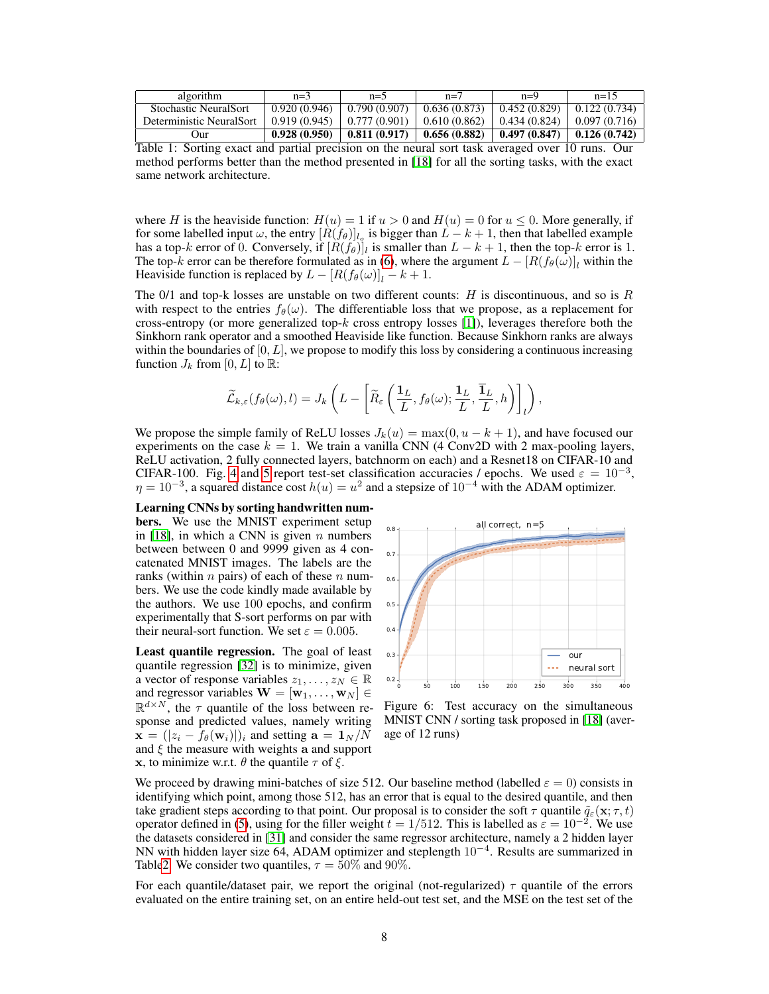| algorithm                | $n=3$        | $n=5$                                                          | $n=7$ | $n=9$                                       | $n=15$               |
|--------------------------|--------------|----------------------------------------------------------------|-------|---------------------------------------------|----------------------|
| Stochastic NeuralSort    | 0.920(0.946) | $0.790(0.907)$   0.636 (0.873)                                 |       | 0.452(0.829)                                | $\vert 0.122(0.734)$ |
| Deterministic NeuralSort |              | $\mid$ 0.919 (0.945) $\mid$ 0.777 (0.901) $\mid$ 0.610 (0.862) |       | $\mid$ 0.434 (0.824) $\mid$ 0.097 (0.716)   |                      |
| Jur                      | 0.928(0.950) | $\vert$ 0.811 (0.917) $\vert$ 0.656 (0.882)                    |       | $\vert$ 0.497 (0.847) $\vert$ 0.126 (0.742) |                      |

Table 1: Sorting exact and partial precision on the neural sort task averaged over 10 runs. Our method performs better than the method presented in [18] for all the sorting tasks, with the exact same network architecture.

where H is the heaviside function:  $H(u) = 1$  if  $u > 0$  and  $H(u) = 0$  for  $u \le 0$ . More generally, if for some labelled input  $\omega$ , the entry  $[R(f_{\theta})]_{l_q}$  is bigger than  $L - k + 1$ , then that labelled example has a top-k error of 0. Conversely, if  $[R(f_\theta)]_l$  is smaller than  $L - k + 1$ , then the top-k error is 1. The top-k error can be therefore formulated as in (6), where the argument  $L - [R(f_{\theta}(\omega)]_l$  within the Heaviside function is replaced by  $L - [R(f_{\theta}(\omega)]_l - k + 1]$ .

The 0/1 and top-k losses are unstable on two different counts:  $H$  is discontinuous, and so is  $R$ with respect to the entries  $f_{\theta}(\omega)$ . The differentiable loss that we propose, as a replacement for cross-entropy (or more generalized top- $k$  cross entropy losses [1]), leverages therefore both the Sinkhorn rank operator and a smoothed Heaviside like function. Because Sinkhorn ranks are always within the boundaries of  $[0, L]$ , we propose to modify this loss by considering a continuous increasing function  $J_k$  from [0, L] to  $\mathbb{R}$ :

$$
\widetilde{\mathcal{L}}_{k,\varepsilon}(f_{\theta}(\omega),l)=J_k\left(L-\left[\widetilde{R}_{\varepsilon}\left(\frac{\textbf{1}_L}{L},f_{\theta}(\omega); \frac{\textbf{1}_L}{L},\frac{\overline{\textbf{1}}_L}{L},h\right)\right]_l\right),\right.
$$

We propose the simple family of ReLU losses  $J_k(u) = \max(0, u - k + 1)$ , and have focused our experiments on the case  $k = 1$ . We train a vanilla CNN (4 Conv2D with 2 max-pooling layers, ReLU activation, 2 fully connected layers, batchnorm on each) and a Resnet18 on CIFAR-10 and CIFAR-100. Fig. 4 and 5 report test-set classification accuracies / epochs. We used  $\varepsilon = 10^{-3}$ ,  $\eta = 10^{-3}$ , a squared distance cost  $h(u) = u^2$  and a stepsize of  $10^{-4}$  with the ADAM optimizer.

### Learning CNNs by sorting handwritten num-

bers. We use the MNIST experiment setup in [18], in which a CNN is given  $n$  numbers between between 0 and 9999 given as 4 concatenated MNIST images. The labels are the ranks (within  $n$  pairs) of each of these  $n$  numbers. We use the code kindly made available by the authors. We use 100 epochs, and confirm experimentally that S-sort performs on par with their neural-sort function. We set  $\varepsilon = 0.005$ .

Least quantile regression. The goal of least quantile regression [32] is to minimize, given a vector of response variables  $z_1, \ldots, z_N \in \mathbb{R}$ and regressor variables  $\mathbf{W} = [\mathbf{w}_1, \dots, \mathbf{w}_N] \in$  $\mathbb{R}^{d \times N}$ , the  $\tau$  quantile of the loss between response and predicted values, namely writing  $\mathbf{x} = (|z_i - f_{\theta}(\mathbf{w}_i)|)_i$  and setting  $\mathbf{a} = \mathbf{1}_N/N$ and  $\xi$  the measure with weights a and support x, to minimize w.r.t.  $\theta$  the quantile  $\tau$  of  $\xi$ .



Figure 6: Test accuracy on the simultaneous MNIST CNN / sorting task proposed in [18] (average of 12 runs)

We proceed by drawing mini-batches of size 512. Our baseline method (labelled  $\varepsilon = 0$ ) consists in identifying which point, among those 512, has an error that is equal to the desired quantile, and then take gradient steps according to that point. Our proposal is to consider the soft  $\tau$  quantile  $\tilde{q}_{\varepsilon}(\mathbf{x}; \tau, t)$ operator defined in (5), using for the filler weight  $t = 1/512$ . This is labelled as  $\varepsilon = 10^{-2}$ . We use the datasets considered in [31] and consider the same regressor architecture, namely a 2 hidden layer NN with hidden layer size 64, ADAM optimizer and steplength 10<sup>−</sup><sup>4</sup> . Results are summarized in Table2. We consider two quantiles,  $\tau = 50\%$  and 90%.

For each quantile/dataset pair, we report the original (not-regularized)  $\tau$  quantile of the errors evaluated on the entire training set, on an entire held-out test set, and the MSE on the test set of the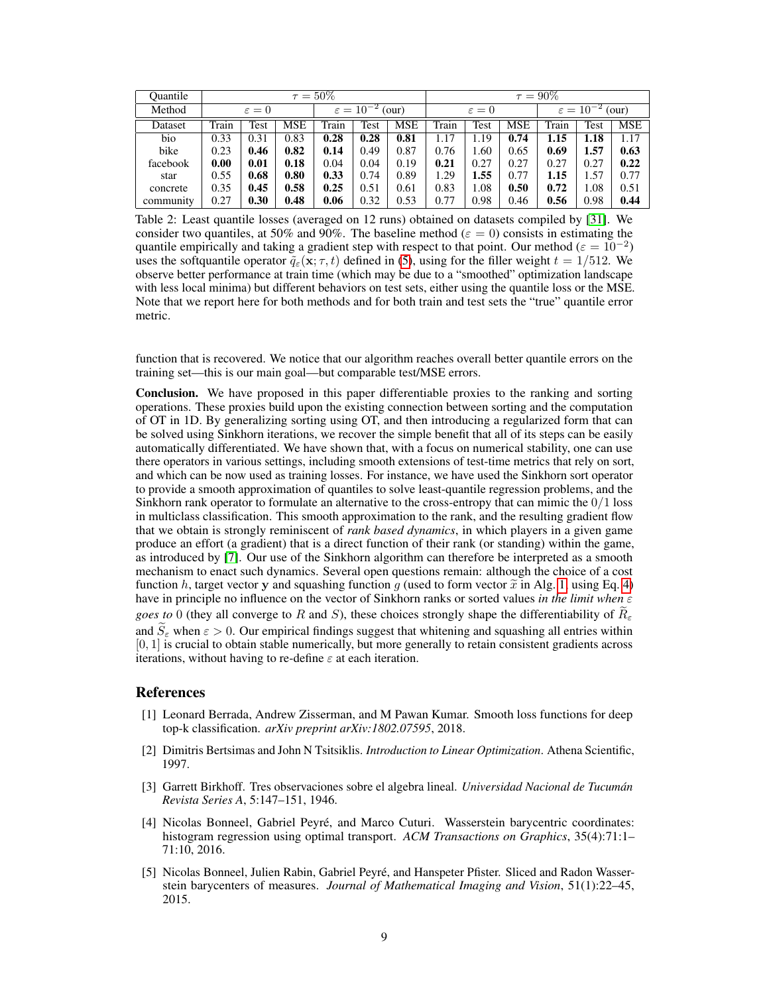| Ouantile  | $\tau = 50\%$     |      |                               |       |                   | $\tau = 90\%$ |       |                               |      |       |      |      |
|-----------|-------------------|------|-------------------------------|-------|-------------------|---------------|-------|-------------------------------|------|-------|------|------|
| Method    | $\varepsilon = 0$ |      | $\varepsilon = 10^{-2}$ (our) |       | $\varepsilon = 0$ |               |       | $\varepsilon = 10^{-2}$ (our) |      |       |      |      |
| Dataset   | Train             | Test | <b>MSE</b>                    | Train | Test              | <b>MSE</b>    | Train | Test                          | MSE  | Train | Test | MSE  |
| bio       | 0.33              | 0.31 | 0.83                          | 0.28  | 0.28              | 0.81          | 1.17  | 1.19                          | 0.74 | 1.15  | 1.18 | 1.17 |
| bike      | 0.23              | 0.46 | 0.82                          | 0.14  | 0.49              | 0.87          | 0.76  | 1.60                          | 0.65 | 0.69  | 1.57 | 0.63 |
| facebook  | 0.00              | 0.01 | 0.18                          | 0.04  | 0.04              | 0.19          | 0.21  | 0.27                          | 0.27 | 0.27  | 0.27 | 0.22 |
| star      | 0.55              | 0.68 | 0.80                          | 0.33  | 0.74              | 0.89          | 1.29  | 1.55                          | 0.77 | 1.15  | 1.57 | 0.77 |
| concrete  | 0.35              | 0.45 | 0.58                          | 0.25  | 0.51              | 0.61          | 0.83  | 1.08                          | 0.50 | 0.72  | 1.08 | 0.51 |
| community | 0.27              | 0.30 | 0.48                          | 0.06  | 0.32              | 0.53          | 0.77  | 0.98                          | 0.46 | 0.56  | 0.98 | 0.44 |

Table 2: Least quantile losses (averaged on 12 runs) obtained on datasets compiled by [31]. We consider two quantiles, at 50% and 90%. The baseline method ( $\varepsilon = 0$ ) consists in estimating the quantile empirically and taking a gradient step with respect to that point. Our method ( $\varepsilon = 10^{-2}$ ) uses the softquantile operator  $\tilde{q}_{\varepsilon}(\mathbf{x}; \tau, t)$  defined in (5), using for the filler weight  $t = 1/512$ . We observe better performance at train time (which may be due to a "smoothed" optimization landscape with less local minima) but different behaviors on test sets, either using the quantile loss or the MSE. Note that we report here for both methods and for both train and test sets the "true" quantile error metric.

function that is recovered. We notice that our algorithm reaches overall better quantile errors on the training set—this is our main goal—but comparable test/MSE errors.

Conclusion. We have proposed in this paper differentiable proxies to the ranking and sorting operations. These proxies build upon the existing connection between sorting and the computation of OT in 1D. By generalizing sorting using OT, and then introducing a regularized form that can be solved using Sinkhorn iterations, we recover the simple benefit that all of its steps can be easily automatically differentiated. We have shown that, with a focus on numerical stability, one can use there operators in various settings, including smooth extensions of test-time metrics that rely on sort, and which can be now used as training losses. For instance, we have used the Sinkhorn sort operator to provide a smooth approximation of quantiles to solve least-quantile regression problems, and the Sinkhorn rank operator to formulate an alternative to the cross-entropy that can mimic the  $0/1$  loss in multiclass classification. This smooth approximation to the rank, and the resulting gradient flow that we obtain is strongly reminiscent of *rank based dynamics*, in which players in a given game produce an effort (a gradient) that is a direct function of their rank (or standing) within the game, as introduced by [7]. Our use of the Sinkhorn algorithm can therefore be interpreted as a smooth mechanism to enact such dynamics. Several open questions remain: although the choice of a cost function h, target vector y and squashing function g (used to form vector  $\tilde{x}$  in Alg. 1, using Eq. 4) have in principle no influence on the vector of Sinkhorn ranks or sorted values *in the limit when* ε *goes to* 0 (they all converge to R and S), these choices strongly shape the differentiability of  $R_{\epsilon}$ and  $S_{\varepsilon}$  when  $\varepsilon > 0$ . Our empirical findings suggest that whitening and squashing all entries within [0, 1] is crucial to obtain stable numerically, but more generally to retain consistent gradients across iterations, without having to re-define  $\varepsilon$  at each iteration.

## References

- [1] Leonard Berrada, Andrew Zisserman, and M Pawan Kumar. Smooth loss functions for deep top-k classification. *arXiv preprint arXiv:1802.07595*, 2018.
- [2] Dimitris Bertsimas and John N Tsitsiklis. *Introduction to Linear Optimization*. Athena Scientific, 1997.
- [3] Garrett Birkhoff. Tres observaciones sobre el algebra lineal. *Universidad Nacional de Tucumán Revista Series A*, 5:147–151, 1946.
- [4] Nicolas Bonneel, Gabriel Peyré, and Marco Cuturi. Wasserstein barycentric coordinates: histogram regression using optimal transport. *ACM Transactions on Graphics*, 35(4):71:1– 71:10, 2016.
- [5] Nicolas Bonneel, Julien Rabin, Gabriel Peyré, and Hanspeter Pfister. Sliced and Radon Wasserstein barycenters of measures. *Journal of Mathematical Imaging and Vision*, 51(1):22–45, 2015.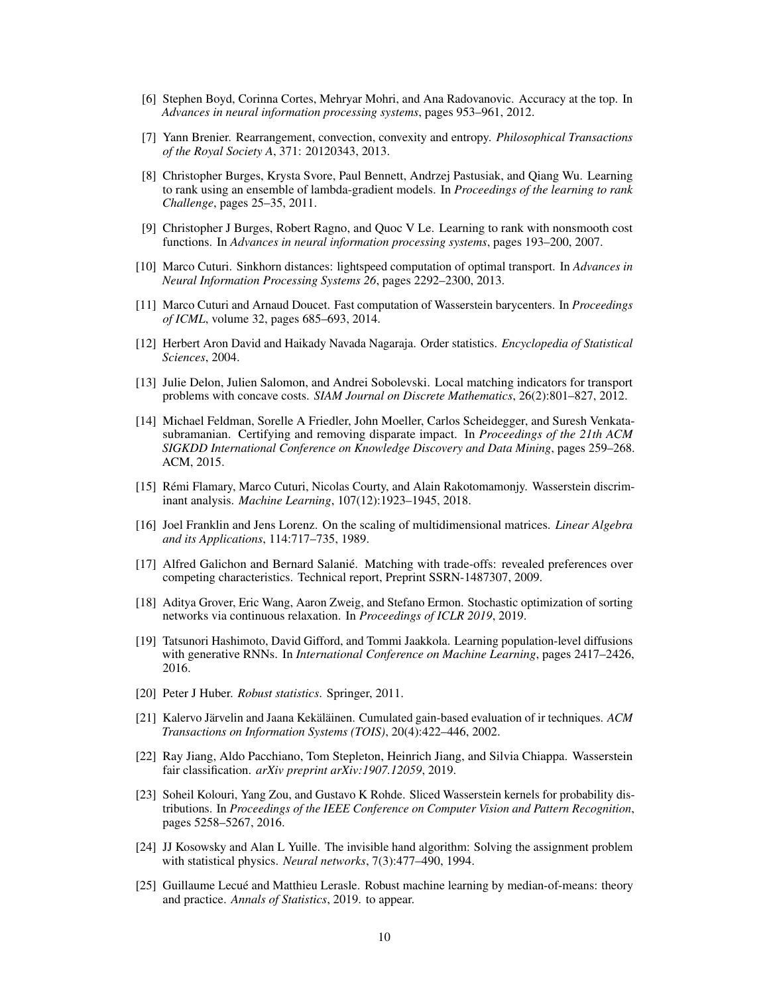- [6] Stephen Boyd, Corinna Cortes, Mehryar Mohri, and Ana Radovanovic. Accuracy at the top. In *Advances in neural information processing systems*, pages 953–961, 2012.
- [7] Yann Brenier. Rearrangement, convection, convexity and entropy. *Philosophical Transactions of the Royal Society A*, 371: 20120343, 2013.
- [8] Christopher Burges, Krysta Svore, Paul Bennett, Andrzej Pastusiak, and Qiang Wu. Learning to rank using an ensemble of lambda-gradient models. In *Proceedings of the learning to rank Challenge*, pages 25–35, 2011.
- [9] Christopher J Burges, Robert Ragno, and Quoc V Le. Learning to rank with nonsmooth cost functions. In *Advances in neural information processing systems*, pages 193–200, 2007.
- [10] Marco Cuturi. Sinkhorn distances: lightspeed computation of optimal transport. In *Advances in Neural Information Processing Systems 26*, pages 2292–2300, 2013.
- [11] Marco Cuturi and Arnaud Doucet. Fast computation of Wasserstein barycenters. In *Proceedings of ICML*, volume 32, pages 685–693, 2014.
- [12] Herbert Aron David and Haikady Navada Nagaraja. Order statistics. *Encyclopedia of Statistical Sciences*, 2004.
- [13] Julie Delon, Julien Salomon, and Andrei Sobolevski. Local matching indicators for transport problems with concave costs. *SIAM Journal on Discrete Mathematics*, 26(2):801–827, 2012.
- [14] Michael Feldman, Sorelle A Friedler, John Moeller, Carlos Scheidegger, and Suresh Venkatasubramanian. Certifying and removing disparate impact. In *Proceedings of the 21th ACM SIGKDD International Conference on Knowledge Discovery and Data Mining*, pages 259–268. ACM, 2015.
- [15] Rémi Flamary, Marco Cuturi, Nicolas Courty, and Alain Rakotomamonjy. Wasserstein discriminant analysis. *Machine Learning*, 107(12):1923–1945, 2018.
- [16] Joel Franklin and Jens Lorenz. On the scaling of multidimensional matrices. *Linear Algebra and its Applications*, 114:717–735, 1989.
- [17] Alfred Galichon and Bernard Salanié. Matching with trade-offs: revealed preferences over competing characteristics. Technical report, Preprint SSRN-1487307, 2009.
- [18] Aditya Grover, Eric Wang, Aaron Zweig, and Stefano Ermon. Stochastic optimization of sorting networks via continuous relaxation. In *Proceedings of ICLR 2019*, 2019.
- [19] Tatsunori Hashimoto, David Gifford, and Tommi Jaakkola. Learning population-level diffusions with generative RNNs. In *International Conference on Machine Learning*, pages 2417–2426, 2016.
- [20] Peter J Huber. *Robust statistics*. Springer, 2011.
- [21] Kalervo Järvelin and Jaana Kekäläinen. Cumulated gain-based evaluation of ir techniques. *ACM Transactions on Information Systems (TOIS)*, 20(4):422–446, 2002.
- [22] Ray Jiang, Aldo Pacchiano, Tom Stepleton, Heinrich Jiang, and Silvia Chiappa. Wasserstein fair classification. *arXiv preprint arXiv:1907.12059*, 2019.
- [23] Soheil Kolouri, Yang Zou, and Gustavo K Rohde. Sliced Wasserstein kernels for probability distributions. In *Proceedings of the IEEE Conference on Computer Vision and Pattern Recognition*, pages 5258–5267, 2016.
- [24] JJ Kosowsky and Alan L Yuille. The invisible hand algorithm: Solving the assignment problem with statistical physics. *Neural networks*, 7(3):477–490, 1994.
- [25] Guillaume Lecué and Matthieu Lerasle. Robust machine learning by median-of-means: theory and practice. *Annals of Statistics*, 2019. to appear.